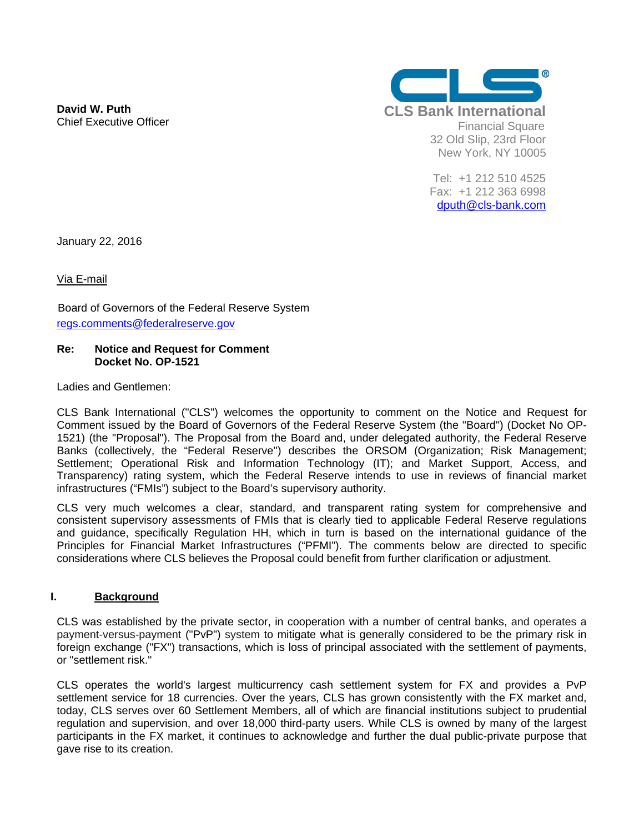**David W. Puth**  Chief Executive Officer



Tel: +1 212 510 4525 Fax: +1 212 363 6998 dputh@cls-bank.com

January 22, 2016

Via E-mail

Board of Governors of the Federal Reserve System regs.comments@federalreserve.gov

#### **Re: Notice and Request for Comment Docket No. OP-1521**

Ladies and Gentlemen:

CLS Bank International ("CLS") welcomes the opportunity to comment on the Notice and Request for Comment issued by the Board of Governors of the Federal Reserve System (the "Board") (Docket No OP-1521) (the "Proposal"). The Proposal from the Board and, under delegated authority, the Federal Reserve Banks (collectively, the "Federal Reserve'') describes the ORSOM (Organization; Risk Management; Settlement; Operational Risk and Information Technology (IT); and Market Support, Access, and Transparency) rating system, which the Federal Reserve intends to use in reviews of financial market infrastructures ("FMIs") subject to the Board's supervisory authority.

CLS very much welcomes a clear, standard, and transparent rating system for comprehensive and consistent supervisory assessments of FMIs that is clearly tied to applicable Federal Reserve regulations and guidance, specifically Regulation HH, which in turn is based on the international guidance of the Principles for Financial Market Infrastructures ("PFMI"). The comments below are directed to specific considerations where CLS believes the Proposal could benefit from further clarification or adjustment.

# **I. Background**

CLS was established by the private sector, in cooperation with a number of central banks, and operates a payment-versus-payment ("PvP") system to mitigate what is generally considered to be the primary risk in foreign exchange ("FX") transactions, which is loss of principal associated with the settlement of payments, or "settlement risk."

CLS operates the world's largest multicurrency cash settlement system for FX and provides a PvP settlement service for 18 currencies. Over the years, CLS has grown consistently with the FX market and, today, CLS serves over 60 Settlement Members, all of which are financial institutions subject to prudential regulation and supervision, and over 18,000 third-party users. While CLS is owned by many of the largest participants in the FX market, it continues to acknowledge and further the dual public-private purpose that gave rise to its creation.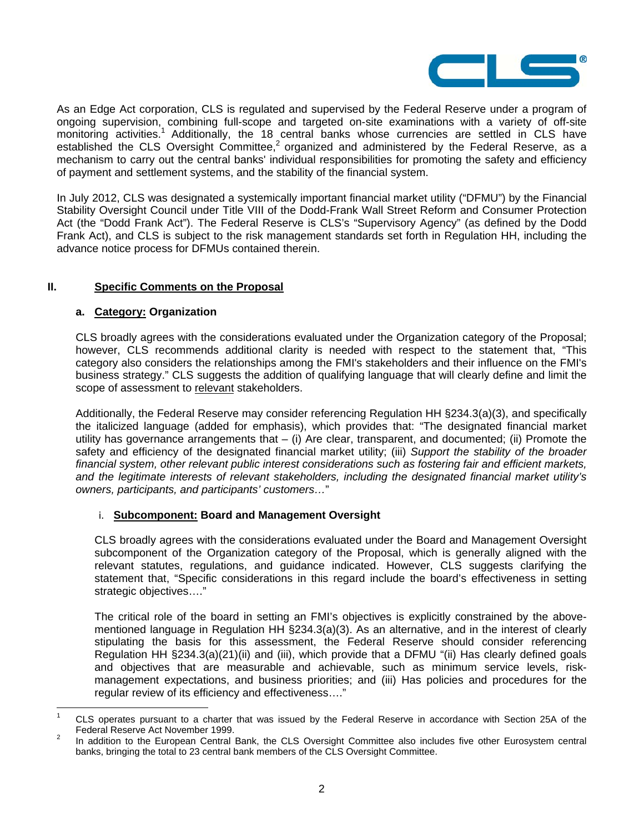

As an Edge Act corporation, CLS is regulated and supervised by the Federal Reserve under a program of ongoing supervision, combining full-scope and targeted on-site examinations with a variety of off-site monitoring activities.<sup>1</sup> Additionally, the 18 central banks whose currencies are settled in CLS have established the CLS Oversight Committee,<sup>2</sup> organized and administered by the Federal Reserve, as a mechanism to carry out the central banks' individual responsibilities for promoting the safety and efficiency of payment and settlement systems, and the stability of the financial system.

In July 2012, CLS was designated a systemically important financial market utility ("DFMU") by the Financial Stability Oversight Council under Title VIII of the Dodd-Frank Wall Street Reform and Consumer Protection Act (the "Dodd Frank Act"). The Federal Reserve is CLS's "Supervisory Agency" (as defined by the Dodd Frank Act), and CLS is subject to the risk management standards set forth in Regulation HH, including the advance notice process for DFMUs contained therein.

# **II. Specific Comments on the Proposal**

# **a. Category: Organization**

 $\overline{a}$ 

CLS broadly agrees with the considerations evaluated under the Organization category of the Proposal; however, CLS recommends additional clarity is needed with respect to the statement that, "This category also considers the relationships among the FMI's stakeholders and their influence on the FMI's business strategy." CLS suggests the addition of qualifying language that will clearly define and limit the scope of assessment to relevant stakeholders.

Additionally, the Federal Reserve may consider referencing Regulation HH §234.3(a)(3), and specifically the italicized language (added for emphasis), which provides that: "The designated financial market utility has governance arrangements that – (i) Are clear, transparent, and documented; (ii) Promote the safety and efficiency of the designated financial market utility; (iii) *Support the stability of the broader financial system, other relevant public interest considerations such as fostering fair and efficient markets, and the legitimate interests of relevant stakeholders, including the designated financial market utility's owners, participants, and participants' customers…*"

# i. **Subcomponent: Board and Management Oversight**

CLS broadly agrees with the considerations evaluated under the Board and Management Oversight subcomponent of the Organization category of the Proposal, which is generally aligned with the relevant statutes, regulations, and guidance indicated. However, CLS suggests clarifying the statement that, "Specific considerations in this regard include the board's effectiveness in setting strategic objectives…."

The critical role of the board in setting an FMI's objectives is explicitly constrained by the abovementioned language in Regulation HH §234.3(a)(3). As an alternative, and in the interest of clearly stipulating the basis for this assessment, the Federal Reserve should consider referencing Regulation HH §234.3(a)(21)(ii) and (iii), which provide that a DFMU "(ii) Has clearly defined goals and objectives that are measurable and achievable, such as minimum service levels, riskmanagement expectations, and business priorities; and (iii) Has policies and procedures for the regular review of its efficiency and effectiveness…."

<sup>1</sup> CLS operates pursuant to a charter that was issued by the Federal Reserve in accordance with Section 25A of the Federal Reserve Act November 1999.<br><sup>2</sup> In addition to the European Central Bank, the CLS Oversight Committee also includes five other Eurosystem central

banks, bringing the total to 23 central bank members of the CLS Oversight Committee.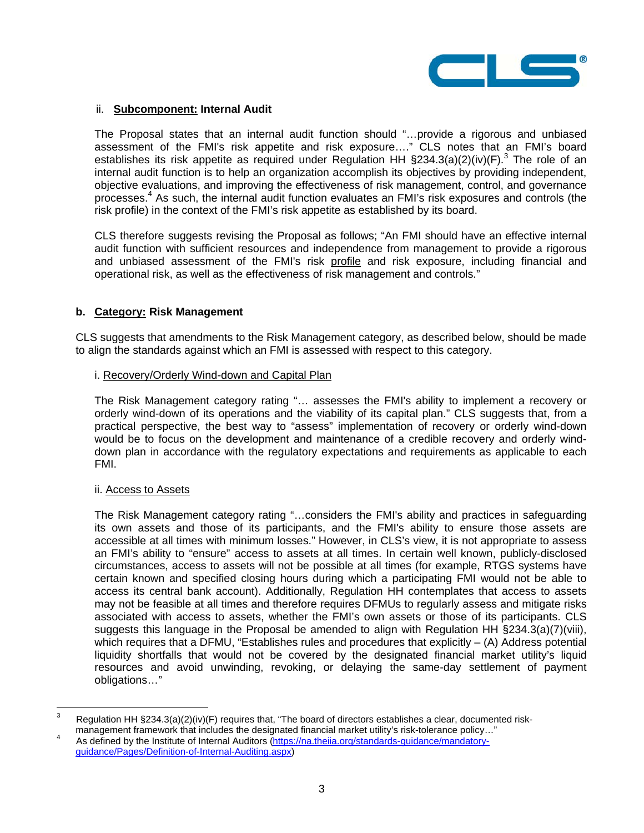

### ii. **Subcomponent: Internal Audit**

The Proposal states that an internal audit function should "…provide a rigorous and unbiased assessment of the FMI's risk appetite and risk exposure…." CLS notes that an FMI's board establishes its risk appetite as required under Regulation HH  $\S$ 234.3(a)(2)(iv)(F).<sup>3</sup> The role of an internal audit function is to help an organization accomplish its objectives by providing independent, objective evaluations, and improving the effectiveness of risk management, control, and governance processes.4 As such, the internal audit function evaluates an FMI's risk exposures and controls (the risk profile) in the context of the FMI's risk appetite as established by its board.

CLS therefore suggests revising the Proposal as follows; "An FMI should have an effective internal audit function with sufficient resources and independence from management to provide a rigorous and unbiased assessment of the FMI's risk profile and risk exposure, including financial and operational risk, as well as the effectiveness of risk management and controls."

# **b. Category: Risk Management**

CLS suggests that amendments to the Risk Management category, as described below, should be made to align the standards against which an FMI is assessed with respect to this category.

#### i. Recovery/Orderly Wind-down and Capital Plan

The Risk Management category rating "… assesses the FMI's ability to implement a recovery or orderly wind-down of its operations and the viability of its capital plan." CLS suggests that, from a practical perspective, the best way to "assess" implementation of recovery or orderly wind-down would be to focus on the development and maintenance of a credible recovery and orderly winddown plan in accordance with the regulatory expectations and requirements as applicable to each FMI.

#### ii. Access to Assets

The Risk Management category rating "…considers the FMI's ability and practices in safeguarding its own assets and those of its participants, and the FMI's ability to ensure those assets are accessible at all times with minimum losses." However, in CLS's view, it is not appropriate to assess an FMI's ability to "ensure" access to assets at all times. In certain well known, publicly-disclosed circumstances, access to assets will not be possible at all times (for example, RTGS systems have certain known and specified closing hours during which a participating FMI would not be able to access its central bank account). Additionally, Regulation HH contemplates that access to assets may not be feasible at all times and therefore requires DFMUs to regularly assess and mitigate risks associated with access to assets, whether the FMI's own assets or those of its participants. CLS suggests this language in the Proposal be amended to align with Regulation HH §234.3(a)(7)(viii), which requires that a DFMU, "Establishes rules and procedures that explicitly  $-$  (A) Address potential liquidity shortfalls that would not be covered by the designated financial market utility's liquid resources and avoid unwinding, revoking, or delaying the same-day settlement of payment obligations…"

<sup>-&</sup>lt;br>3 Regulation HH §234.3(a)(2)(iv)(F) requires that, "The board of directors establishes a clear, documented riskmanagement framework that includes the designated financial market utility's risk-tolerance policy..."

As defined by the Institute of Internal Auditors (https://na.theiia.org/standards-guidance/mandatoryguidance/Pages/Definition-of-Internal-Auditing.aspx)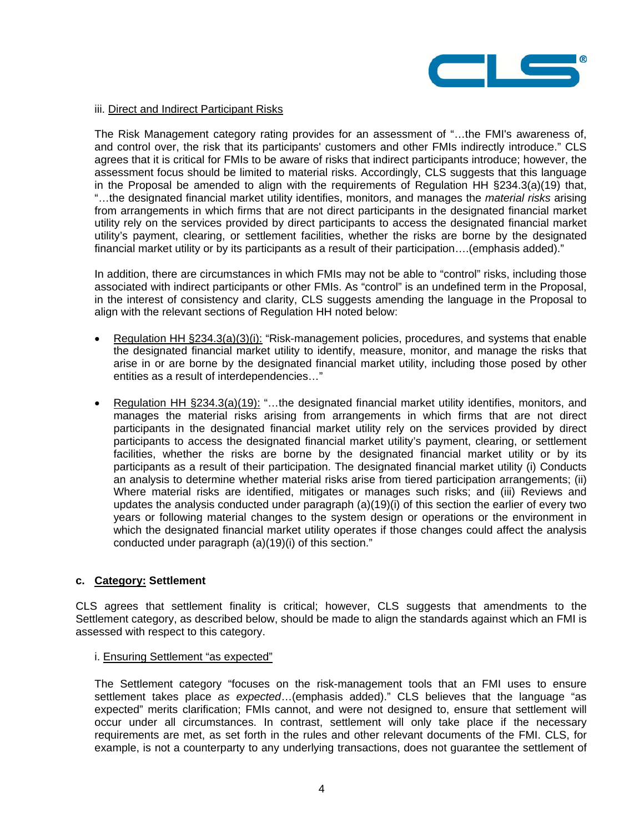

### iii. Direct and Indirect Participant Risks

The Risk Management category rating provides for an assessment of "…the FMI's awareness of, and control over, the risk that its participants' customers and other FMIs indirectly introduce." CLS agrees that it is critical for FMIs to be aware of risks that indirect participants introduce; however, the assessment focus should be limited to material risks. Accordingly, CLS suggests that this language in the Proposal be amended to align with the requirements of Regulation HH §234.3(a)(19) that, "…the designated financial market utility identifies, monitors, and manages the *material risks* arising from arrangements in which firms that are not direct participants in the designated financial market utility rely on the services provided by direct participants to access the designated financial market utility's payment, clearing, or settlement facilities, whether the risks are borne by the designated financial market utility or by its participants as a result of their participation....(emphasis added)."

In addition, there are circumstances in which FMIs may not be able to "control" risks, including those associated with indirect participants or other FMIs. As "control" is an undefined term in the Proposal, in the interest of consistency and clarity, CLS suggests amending the language in the Proposal to align with the relevant sections of Regulation HH noted below:

- **•** Regulation HH  $\S 234.3(a)(3)(i)$ : "Risk-management policies, procedures, and systems that enable the designated financial market utility to identify, measure, monitor, and manage the risks that arise in or are borne by the designated financial market utility, including those posed by other entities as a result of interdependencies…"
- Regulation HH §234.3(a)(19): "…the designated financial market utility identifies, monitors, and manages the material risks arising from arrangements in which firms that are not direct participants in the designated financial market utility rely on the services provided by direct participants to access the designated financial market utility's payment, clearing, or settlement facilities, whether the risks are borne by the designated financial market utility or by its participants as a result of their participation. The designated financial market utility (i) Conducts an analysis to determine whether material risks arise from tiered participation arrangements; (ii) Where material risks are identified, mitigates or manages such risks; and (iii) Reviews and updates the analysis conducted under paragraph (a)(19)(i) of this section the earlier of every two years or following material changes to the system design or operations or the environment in which the designated financial market utility operates if those changes could affect the analysis conducted under paragraph (a)(19)(i) of this section."

# **c. Category: Settlement**

CLS agrees that settlement finality is critical; however, CLS suggests that amendments to the Settlement category, as described below, should be made to align the standards against which an FMI is assessed with respect to this category.

#### i. Ensuring Settlement "as expected"

The Settlement category "focuses on the risk-management tools that an FMI uses to ensure settlement takes place *as expected*…(emphasis added)." CLS believes that the language "as expected" merits clarification; FMIs cannot, and were not designed to, ensure that settlement will occur under all circumstances. In contrast, settlement will only take place if the necessary requirements are met, as set forth in the rules and other relevant documents of the FMI. CLS, for example, is not a counterparty to any underlying transactions, does not guarantee the settlement of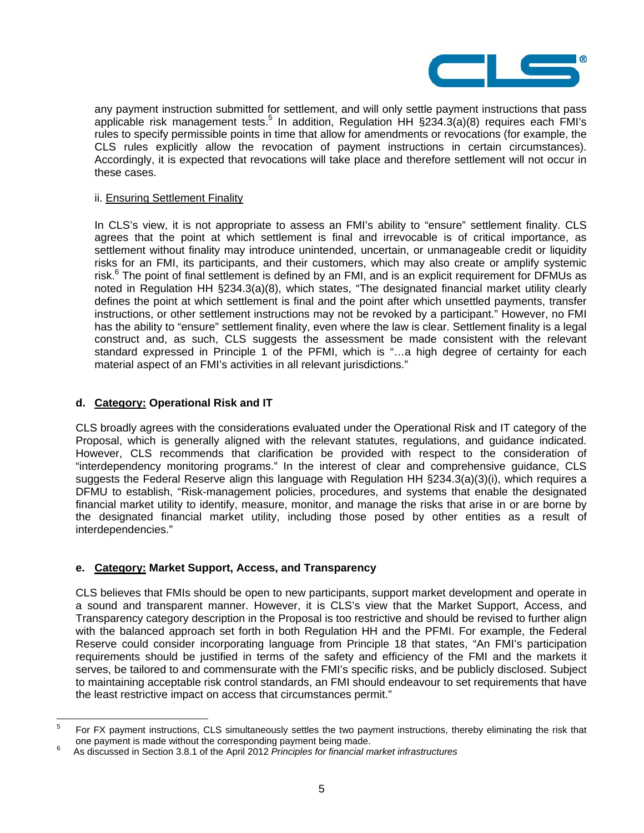

any payment instruction submitted for settlement, and will only settle payment instructions that pass applicable risk management tests.<sup>5</sup> In addition, Regulation HH  $\S 234.3(a)(8)$  requires each FMI's rules to specify permissible points in time that allow for amendments or revocations (for example, the CLS rules explicitly allow the revocation of payment instructions in certain circumstances). Accordingly, it is expected that revocations will take place and therefore settlement will not occur in these cases.

### ii. Ensuring Settlement Finality

In CLS's view, it is not appropriate to assess an FMI's ability to "ensure" settlement finality. CLS agrees that the point at which settlement is final and irrevocable is of critical importance, as settlement without finality may introduce unintended, uncertain, or unmanageable credit or liquidity risks for an FMI, its participants, and their customers, which may also create or amplify systemic risk.<sup>6</sup> The point of final settlement is defined by an FMI, and is an explicit requirement for DFMUs as noted in Regulation HH §234.3(a)(8), which states, "The designated financial market utility clearly defines the point at which settlement is final and the point after which unsettled payments, transfer instructions, or other settlement instructions may not be revoked by a participant." However, no FMI has the ability to "ensure" settlement finality, even where the law is clear. Settlement finality is a legal construct and, as such, CLS suggests the assessment be made consistent with the relevant standard expressed in Principle 1 of the PFMI, which is "…a high degree of certainty for each material aspect of an FMI's activities in all relevant jurisdictions."

# **d. Category: Operational Risk and IT**

CLS broadly agrees with the considerations evaluated under the Operational Risk and IT category of the Proposal, which is generally aligned with the relevant statutes, regulations, and guidance indicated. However, CLS recommends that clarification be provided with respect to the consideration of "interdependency monitoring programs." In the interest of clear and comprehensive guidance, CLS suggests the Federal Reserve align this language with Regulation HH §234.3(a)(3)(i), which requires a DFMU to establish, "Risk-management policies, procedures, and systems that enable the designated financial market utility to identify, measure, monitor, and manage the risks that arise in or are borne by the designated financial market utility, including those posed by other entities as a result of interdependencies."

# **e. Category: Market Support, Access, and Transparency**

CLS believes that FMIs should be open to new participants, support market development and operate in a sound and transparent manner. However, it is CLS's view that the Market Support, Access, and Transparency category description in the Proposal is too restrictive and should be revised to further align with the balanced approach set forth in both Regulation HH and the PFMI. For example, the Federal Reserve could consider incorporating language from Principle 18 that states, "An FMI's participation requirements should be justified in terms of the safety and efficiency of the FMI and the markets it serves, be tailored to and commensurate with the FMI's specific risks, and be publicly disclosed. Subject to maintaining acceptable risk control standards, an FMI should endeavour to set requirements that have the least restrictive impact on access that circumstances permit."

<sup>-&</sup>lt;br>5 For FX payment instructions, CLS simultaneously settles the two payment instructions, thereby eliminating the risk that one payment is made without the corresponding payment being made.

As discussed in Section 3.8.1 of the April 2012 *Principles for financial market infrastructures*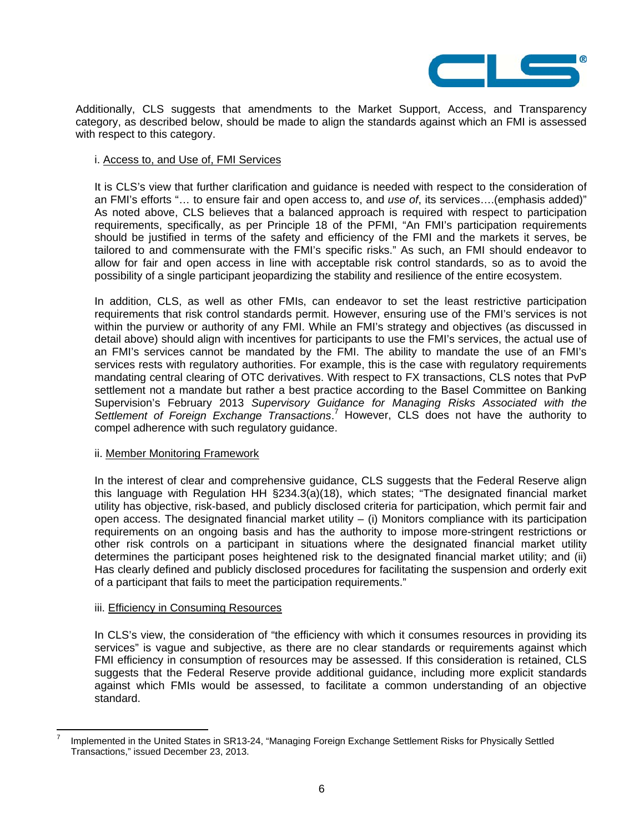

Additionally, CLS suggests that amendments to the Market Support, Access, and Transparency category, as described below, should be made to align the standards against which an FMI is assessed with respect to this category.

### i. Access to, and Use of, FMI Services

It is CLS's view that further clarification and guidance is needed with respect to the consideration of an FMI's efforts "… to ensure fair and open access to, and *use of*, its services….(emphasis added)" As noted above, CLS believes that a balanced approach is required with respect to participation requirements, specifically, as per Principle 18 of the PFMI, "An FMI's participation requirements should be justified in terms of the safety and efficiency of the FMI and the markets it serves, be tailored to and commensurate with the FMI's specific risks." As such, an FMI should endeavor to allow for fair and open access in line with acceptable risk control standards, so as to avoid the possibility of a single participant jeopardizing the stability and resilience of the entire ecosystem.

In addition, CLS, as well as other FMIs, can endeavor to set the least restrictive participation requirements that risk control standards permit. However, ensuring use of the FMI's services is not within the purview or authority of any FMI. While an FMI's strategy and objectives (as discussed in detail above) should align with incentives for participants to use the FMI's services, the actual use of an FMI's services cannot be mandated by the FMI. The ability to mandate the use of an FMI's services rests with regulatory authorities. For example, this is the case with regulatory requirements mandating central clearing of OTC derivatives. With respect to FX transactions, CLS notes that PvP settlement not a mandate but rather a best practice according to the Basel Committee on Banking Supervision's February 2013 *Supervisory Guidance for Managing Risks Associated with the*  Settlement of Foreign Exchange Transactions.<sup>7</sup> However, CLS does not have the authority to compel adherence with such regulatory guidance.

#### ii. Member Monitoring Framework

In the interest of clear and comprehensive guidance, CLS suggests that the Federal Reserve align this language with Regulation HH §234.3(a)(18), which states; "The designated financial market utility has objective, risk-based, and publicly disclosed criteria for participation, which permit fair and open access. The designated financial market utility  $-$  (i) Monitors compliance with its participation requirements on an ongoing basis and has the authority to impose more-stringent restrictions or other risk controls on a participant in situations where the designated financial market utility determines the participant poses heightened risk to the designated financial market utility; and (ii) Has clearly defined and publicly disclosed procedures for facilitating the suspension and orderly exit of a participant that fails to meet the participation requirements."

#### iii. Efficiency in Consuming Resources

 $\overline{a}$ 

In CLS's view, the consideration of "the efficiency with which it consumes resources in providing its services" is vague and subjective, as there are no clear standards or requirements against which FMI efficiency in consumption of resources may be assessed. If this consideration is retained, CLS suggests that the Federal Reserve provide additional guidance, including more explicit standards against which FMIs would be assessed, to facilitate a common understanding of an objective standard.

<sup>7</sup> Implemented in the United States in SR13-24, "Managing Foreign Exchange Settlement Risks for Physically Settled Transactions," issued December 23, 2013.